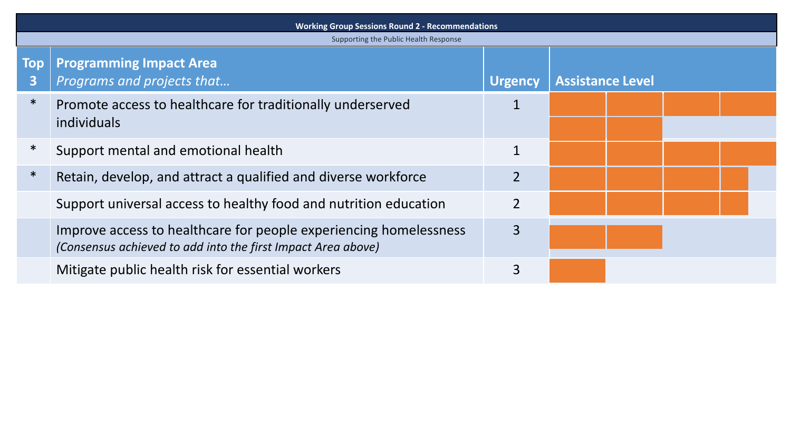| <b>Working Group Sessions Round 2 - Recommendations</b> |                                                                                                                                   |                |                         |  |  |
|---------------------------------------------------------|-----------------------------------------------------------------------------------------------------------------------------------|----------------|-------------------------|--|--|
| Supporting the Public Health Response                   |                                                                                                                                   |                |                         |  |  |
| Top<br>3                                                | <b>Programming Impact Area</b><br>Programs and projects that                                                                      | <b>Urgency</b> | <b>Assistance Level</b> |  |  |
| $\ast$                                                  | Promote access to healthcare for traditionally underserved<br>individuals                                                         |                |                         |  |  |
| ∗                                                       | Support mental and emotional health                                                                                               |                |                         |  |  |
| $\ast$                                                  | Retain, develop, and attract a qualified and diverse workforce                                                                    | $\overline{2}$ |                         |  |  |
|                                                         | Support universal access to healthy food and nutrition education                                                                  | $\overline{2}$ |                         |  |  |
|                                                         | Improve access to healthcare for people experiencing homelessness<br>(Consensus achieved to add into the first Impact Area above) | 3              |                         |  |  |
|                                                         | Mitigate public health risk for essential workers                                                                                 | 3              |                         |  |  |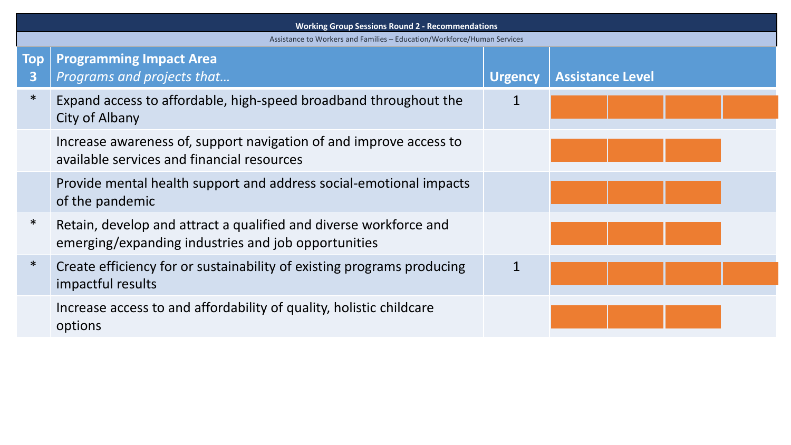| <b>Working Group Sessions Round 2 - Recommendations</b>                 |                                                                                                                          |                |                         |
|-------------------------------------------------------------------------|--------------------------------------------------------------------------------------------------------------------------|----------------|-------------------------|
| Assistance to Workers and Families - Education/Workforce/Human Services |                                                                                                                          |                |                         |
| <b>Top</b><br>$\overline{\mathbf{3}}$                                   | <b>Programming Impact Area</b><br>Programs and projects that                                                             | <b>Urgency</b> | <b>Assistance Level</b> |
| $\ast$                                                                  | Expand access to affordable, high-speed broadband throughout the<br>City of Albany                                       | 1              |                         |
|                                                                         | Increase awareness of, support navigation of and improve access to<br>available services and financial resources         |                |                         |
|                                                                         | Provide mental health support and address social-emotional impacts<br>of the pandemic                                    |                |                         |
| $\ast$                                                                  | Retain, develop and attract a qualified and diverse workforce and<br>emerging/expanding industries and job opportunities |                |                         |
| $\ast$                                                                  | Create efficiency for or sustainability of existing programs producing<br>impactful results                              |                |                         |
|                                                                         | Increase access to and affordability of quality, holistic childcare<br>options                                           |                |                         |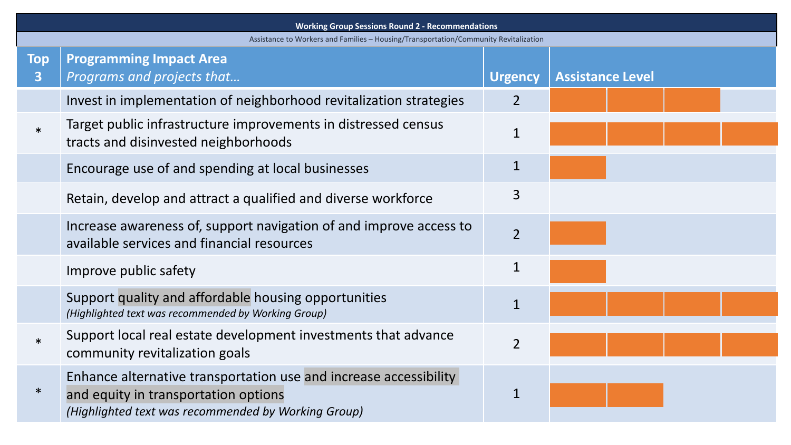| <b>Working Group Sessions Round 2 - Recommendations</b> |                                                                                                                                                                  |                |                         |  |
|---------------------------------------------------------|------------------------------------------------------------------------------------------------------------------------------------------------------------------|----------------|-------------------------|--|
|                                                         | Assistance to Workers and Families - Housing/Transportation/Community Revitalization                                                                             |                |                         |  |
| <b>Top</b><br>$\mathbf{3}$                              | <b>Programming Impact Area</b><br>Programs and projects that                                                                                                     | <b>Urgency</b> | <b>Assistance Level</b> |  |
|                                                         | Invest in implementation of neighborhood revitalization strategies                                                                                               | $\overline{2}$ |                         |  |
| $\ast$                                                  | Target public infrastructure improvements in distressed census<br>tracts and disinvested neighborhoods                                                           | $\mathbf 1$    |                         |  |
|                                                         | Encourage use of and spending at local businesses                                                                                                                | 1              |                         |  |
|                                                         | Retain, develop and attract a qualified and diverse workforce                                                                                                    | 3              |                         |  |
|                                                         | Increase awareness of, support navigation of and improve access to<br>available services and financial resources                                                 | $\overline{2}$ |                         |  |
|                                                         | Improve public safety                                                                                                                                            | $\mathbf 1$    |                         |  |
|                                                         | Support quality and affordable housing opportunities<br>(Highlighted text was recommended by Working Group)                                                      | $\mathbf{1}$   |                         |  |
| $\ast$                                                  | Support local real estate development investments that advance<br>community revitalization goals                                                                 | $\overline{2}$ |                         |  |
| $\ast$                                                  | Enhance alternative transportation use and increase accessibility<br>and equity in transportation options<br>(Highlighted text was recommended by Working Group) | 1              |                         |  |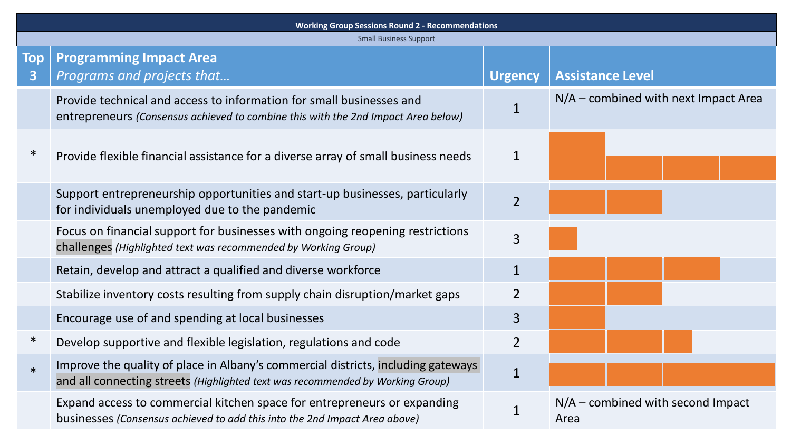| <b>Working Group Sessions Round 2 - Recommendations</b> |                                                                                                                                                                     |                |                                             |  |
|---------------------------------------------------------|---------------------------------------------------------------------------------------------------------------------------------------------------------------------|----------------|---------------------------------------------|--|
|                                                         | <b>Small Business Support</b>                                                                                                                                       |                |                                             |  |
| Top<br>$\mathbf{3}$                                     | <b>Programming Impact Area</b><br>Programs and projects that                                                                                                        | <b>Urgency</b> | <b>Assistance Level</b>                     |  |
|                                                         | Provide technical and access to information for small businesses and<br>entrepreneurs (Consensus achieved to combine this with the 2nd Impact Area below)           | $\mathbf{1}$   | $N/A$ – combined with next Impact Area      |  |
| $\ast$                                                  | Provide flexible financial assistance for a diverse array of small business needs                                                                                   | $\mathbf 1$    |                                             |  |
|                                                         | Support entrepreneurship opportunities and start-up businesses, particularly<br>for individuals unemployed due to the pandemic                                      | $\overline{2}$ |                                             |  |
|                                                         | Focus on financial support for businesses with ongoing reopening restrictions<br>challenges (Highlighted text was recommended by Working Group)                     | 3              |                                             |  |
|                                                         | Retain, develop and attract a qualified and diverse workforce                                                                                                       | $\mathbf{1}$   |                                             |  |
|                                                         | Stabilize inventory costs resulting from supply chain disruption/market gaps                                                                                        | $\overline{2}$ |                                             |  |
|                                                         | Encourage use of and spending at local businesses                                                                                                                   | $\overline{3}$ |                                             |  |
| $\ast$                                                  | Develop supportive and flexible legislation, regulations and code                                                                                                   | $\overline{2}$ |                                             |  |
| $\ast$                                                  | Improve the quality of place in Albany's commercial districts, including gateways<br>and all connecting streets (Highlighted text was recommended by Working Group) | $\mathbf{1}$   |                                             |  |
|                                                         | Expand access to commercial kitchen space for entrepreneurs or expanding<br>businesses (Consensus achieved to add this into the 2nd Impact Area above)              |                | $N/A$ – combined with second Impact<br>Area |  |